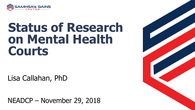

# **Status of Research on Mental Health Courts**

Lisa Callahan, PhD

NEADCP – November 29, 2018

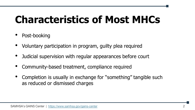## **Characteristics of Most MHCs**

- Post-booking
- Voluntary participation in program, guilty plea required
- Judicial supervision with regular appearances before court
- Community-based treatment, compliance required
- Completion is usually in exchange for "something" tangible such as reduced or dismissed charges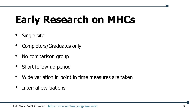# **Early Research on MHCs**

- Single site
- Completers/Graduates only
- No comparison group
- Short follow-up period
- Wide variation in point in time measures are taken
- Internal evaluations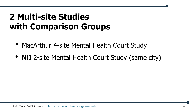## **2 Multi-site Studies with Comparison Groups**

- MacArthur 4-site Mental Health Court Study
- NIJ 2-site Mental Health Court Study (same city)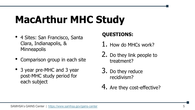## **MacArthur MHC Study**

- 4 Sites: San Francisco, Santa Clara, Indianapolis, & **Minneapolis**
- Comparison group in each site
- 3 year pre-MHC and 3 year post-MHC study period for each subject

#### **QUESTIONS:**

- 1. How do MHCs work?
- 2. Do they link people to treatment?
- 3. Do they reduce recidivism?
- 4. Are they cost-effective?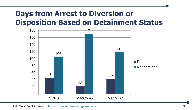#### **Days from Arrest to Diversion or Disposition Based on Detainment Status**

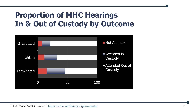#### **Proportion of MHC Hearings In & Out of Custody by Outcome**

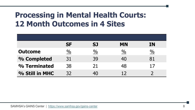#### **Processing in Mental Health Courts: 12 Month Outcomes in 4 Sites**

|                | <b>SF</b>     | <b>SJ</b>     | <b>MN</b>     | <b>IN</b>     |
|----------------|---------------|---------------|---------------|---------------|
| <b>Outcome</b> | $\frac{0}{0}$ | $\frac{0}{0}$ | $\frac{0}{0}$ | $\frac{0}{0}$ |
| % Completed    | 31            | 39            | 40            | 81            |
| % Terminated   | 38            | 21            | 48            | 17            |
| % Still in MHC | 32            |               | 1 フ           |               |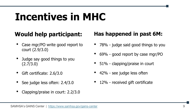## **Incentives in MHC**

- Case mgr/PO write good report to court (2.9/3.0)
- Judge say good things to you (2.7/3.0)
- Gift certificate: 2.6/3.0
- See judge less often: 2.4/3.0
- Clapping/praise in court: 2.2/3.0

#### **Would help participant: Has happened in past 6M:**

- 78% judge said good things to you
- 69% good report by case mgr/PO
- 51% clapping/praise in court
- 42% see judge less often
- 12% received gift certificate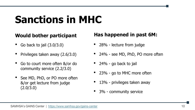## **Sanctions in MHC**

- Go back to jail (3.0/3.0)
- Privileges taken away (2.6/3.0)
- Go to court more often &/or do community service (2.2/3.0)
- See MD, PhD, or PO more often &/or get lecture from judge (2.0/3.0)

#### **Would bother participant Has happened in past 6M:**

- 28% lecture from judge
- 24% see MD, PhD, PO more often
- 24% go back to jail
- 23% go to MHC more often
- 13% privileges taken away
- 3% community service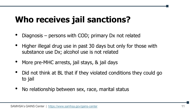#### **Who receives jail sanctions?**

- Diagnosis persons with COD; primary Dx not related
- Higher illegal drug use in past 30 days but only for those with substance use Dx; alcohol use is not related
- More pre-MHC arrests, jail stays, & jail days
- Did not think at BL that if they violated conditions they could go to jail
- No relationship between sex, race, marital status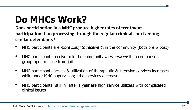## **Do MHCs Work?**

**Does participation in a MHC produce higher rates of treatment participation than processing through the regular criminal court among similar defendants?**

- MHC participants are *more likely to receive tx* in the community (both pre  $\&$  post)
- MHC participants receive tx in the community *more quickly* than comparison group upon release from jail
- MHC participants access & utilization of therapeutic & intensive services increases while under MHC supervision; crisis services decrease
- MHC participants "still in" after 1 year are high service utilizers with complicated clinical issues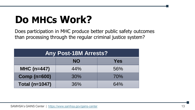# **Do MHCs Work?**

Does participation in MHC produce better public safety outcomes than processing through the regular criminal justice system?

| <b>Any Post-18M Arrests?</b> |           |     |  |  |  |
|------------------------------|-----------|-----|--|--|--|
|                              | <b>NO</b> | Yes |  |  |  |
| $MHC (n=447)$                | 44%       | 56% |  |  |  |
| <b>Comp (n=600)</b>          | 30%       | 70% |  |  |  |
| <b>Total (n=1047)</b>        | 36%       | 64% |  |  |  |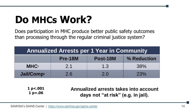# **Do MHCs Work?**

Does participation in MHC produce better public safety outcomes than processing through the regular criminal justice system?

| <b>Annualized Arrests per 1 Year in Community</b> |         |          |             |  |  |
|---------------------------------------------------|---------|----------|-------------|--|--|
|                                                   | Pre-18M | Post-18M | % Reduction |  |  |
| <b>MHC1</b>                                       | 2.1     | 1.3      | 38%         |  |  |
| <b>Jail/Comp<sup>2</sup></b>                      | 2.6     | 2.0      | 23%         |  |  |

**1 p<.001 1 p=.06**

**Annualized arrests takes into account days not "at risk" (e.g. in jail).**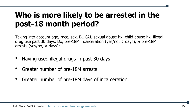#### **Who is more likely to be arrested in the post-18 month period?**

Taking into account age, race, sex, BL CAI, sexual abuse hx, child abuse hx, illegal drug use past 30 days, Dx, pre-18M incarceration (yes/no, # days), & pre-18M arrests (yes/no, # days):

- Having used illegal drugs in past 30 days
- Greater number of pre-18M arrests
- Greater number of pre-18M days of incarceration.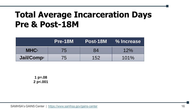#### **Total Average Incarceration Days Pre & Post-18M**

|                         | Pre-18M | Post-18M | % Increase |
|-------------------------|---------|----------|------------|
| <b>MHC</b> <sup>1</sup> | 75      | 84       | 12%        |
| Jail/Comp <sup>2</sup>  | 75      | 152      | 101%       |

**1 p=.08 2 p<.001**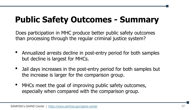## **Public Safety Outcomes - Summary**

Does participation in MHC produce better public safety outcomes than processing through the regular criminal justice system?

- Annualized arrests decline in post-entry period for both samples but decline is largest for MHCs.
- Jail days increases in the post-entry period for both samples but the increase is larger for the comparison group.
- MHCs meet the goal of improving public safety outcomes, especially when compared with the comparison group.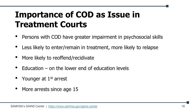## **Importance of COD as Issue in Treatment Courts**

- Persons with COD have greater impairment in psychosocial skills
- Less likely to enter/remain in treatment, more likely to relapse
- More likely to reoffend/recidivate
- Education  $-$  on the lower end of education levels
- Younger at 1<sup>st</sup> arrest
- More arrests since age 15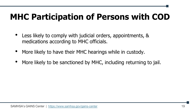## **MHC Participation of Persons with COD**

- Less likely to comply with judicial orders, appointments, & medications according to MHC officials.
- More likely to have their MHC hearings while in custody.
- More likely to be sanctioned by MHC, including returning to jail.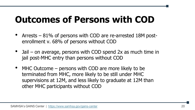## **Outcomes of Persons with COD**

- Arrests 81% of persons with COD are re-arrested 18M postenrollment v. 68% of persons without COD
- Jail on average, persons with COD spend 2x as much time in jail post-MHC entry than persons without COD
- MHC Outcome persons with COD are more likely to be terminated from MHC, more likely to be still under MHC supervisions at 12M, and less likely to graduate at 12M than other MHC participants without COD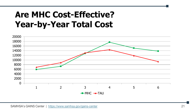#### **Are MHC Cost-Effective? Year-by-Year Total Cost**

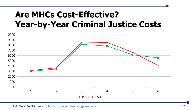#### **Are MHCs Cost-Effective? Year-by-Year Criminal Justice Costs**

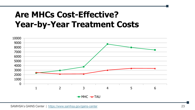#### **Are MHCs Cost-Effective? Year-by-Year Treatment Costs**

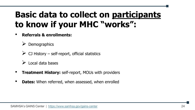## **Basic data to collect on participants to know if your MHC "works":**

• **Referrals & enrollments:**

**Demographics** 

 $\triangleright$  CJ History – self-report, official statistics

➢ Local data bases

- **Treatment History:** self-report, MOUs with providers
- **Dates:** When referred, when assessed, when enrolled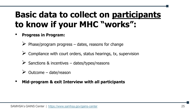## **Basic data to collect on participants to know if your MHC "works":**

- **Progress in Program:**
	- $\triangleright$  Phase/program progress dates, reasons for change
	- $\triangleright$  Compliance with court orders, status hearings, tx, supervision
	- $\triangleright$  Sanctions & incentives dates/types/reasons
	- $\triangleright$  Outcome date/reason
- **Mid-program & exit Interview with all participants**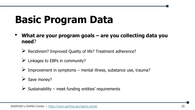## **Basic Program Data**

- **What are your program goals – are you collecting data you need**?
	- ➢ Recidivism? Improved Quality of life? Treatment adherence?
	- $\triangleright$  Linkages to EBPs in community?
	- $\triangleright$  Improvement in symptoms mental illness, substance use, trauma?
	- $\triangleright$  Save money?
	- $\triangleright$  Sustainability meet funding entities' requirements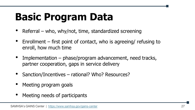# **Basic Program Data**

- Referral who, why/not, time, standardized screening
- Enrollment first point of contact, who is agreeing/ refusing to enroll, how much time
- Implementation phase/program advancement, need tracks, partner cooperation, gaps in service delivery
- Sanction/Incentives rational? Who? Resources?
- Meeting program goals
- Meeting needs of participants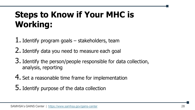## **Steps to Know if Your MHC is Working:**

1. Identify program goals – stakeholders, team

2. Identify data you need to measure each goal

3. Identify the person/people responsible for data collection, analysis, reporting

4. Set a reasonable time frame for implementation

5. Identify purpose of the data collection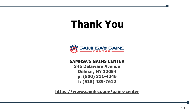## **Thank You**



#### **SAMHSA'S GAINS CENTER**

**345 Delaware Avenue Delmar, NY 12054 p: (800) 311-4246 f: (518) 439-7612** 

**https://www.samhsa.gov/gains-center**